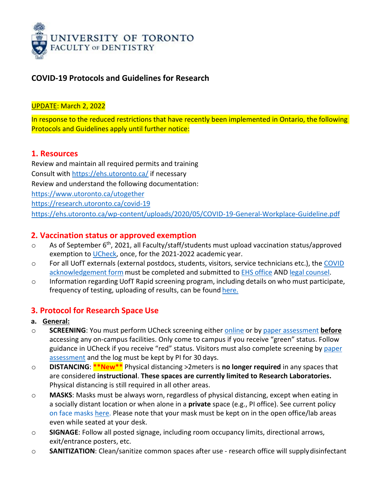

## **COVID-19 Protocols and Guidelines for Research**

#### UPDATE: March 2, 2022

In response to the reduced restrictions that have recently been implemented in Ontario, the following Protocols and Guidelines apply until further notice:

#### **1. Resources**

Review and maintain all required permits and training Consult with<https://ehs.utoronto.ca/> if necessary Review and understand the following documentation: <https://www.utoronto.ca/utogether> <https://research.utoronto.ca/covid-19> <https://ehs.utoronto.ca/wp-content/uploads/2020/05/COVID-19-General-Workplace-Guideline.pdf>

### **2. Vaccination status or approved exemption**

- $\circ$  As of September 6<sup>th</sup>, 2021, all Faculty/staff/students must upload vaccination status/approved exemption to [UCheck,](https://ucheck.utoronto.ca/) once, for the 2021-2022 academic year.
- o For all UofT externals (external postdocs, students, visitors, service technicians etc.), the [COVID](https://ehs.utoronto.ca/wp-content/uploads/2020/08/UofT-Contractor-COVID-safety-acknowledgement-form-August-10-2020_Final.pdf) [acknowledgement](https://ehs.utoronto.ca/wp-content/uploads/2020/08/UofT-Contractor-COVID-safety-acknowledgement-form-August-10-2020_Final.pdf) form must be completed and submitted to **EHS [office](mailto:ehs.office@utoronto.ca) AND** legal [counsel.](mailto:covid.contracts@utoronto.ca)
- $\circ$  Information regarding UofT Rapid screening program, including details on who must participate, frequency of testing, uploading of results, can be found [here.](https://www.utoronto.ca/utogether/rapid-screening)

## **3. Protocol for Research Space Use**

- **a. General:**
- o **SCREENING**: You must perform UCheck screening either [online](https://ucheck.utoronto.ca/) or by [paper assessment](https://www.utoronto.ca/utogether/ucheck) **before** accessing any on-campus facilities. Only come to campus if you receive "green" status. Follow guidance in UCheck if you receive "red" status. Visitors must also complete screening by [paper](https://www.utoronto.ca/utogether/ucheck) [assessment](https://www.utoronto.ca/utogether/ucheck) and the log must be kept by PI for 30 days.
- o **DISTANCING**: **\*\*New\*\*** Physical distancing >2meters is **no longer required** in any spaces that are considered **instructional**. **These spaces are currently limited to Research Laboratories.** Physical distancing is still required in all other areas.
- o **MASKS**: Masks must be always worn, regardless of physical distancing, except when eating in a socially distant location or when alone in a **private** space (e.g., PI office). See current policy on face masks [here.](https://governingcouncil.utoronto.ca/secretariat/policies/face-masks-policy) Please note that your mask must be kept on in the open office/lab areas even while seated at your desk.
- o **SIGNAGE**: Follow all posted signage, including room occupancy limits, directional arrows, exit/entrance posters, etc.
- o **SANITIZATION**: Clean/sanitize common spaces after use research office will supplydisinfectant